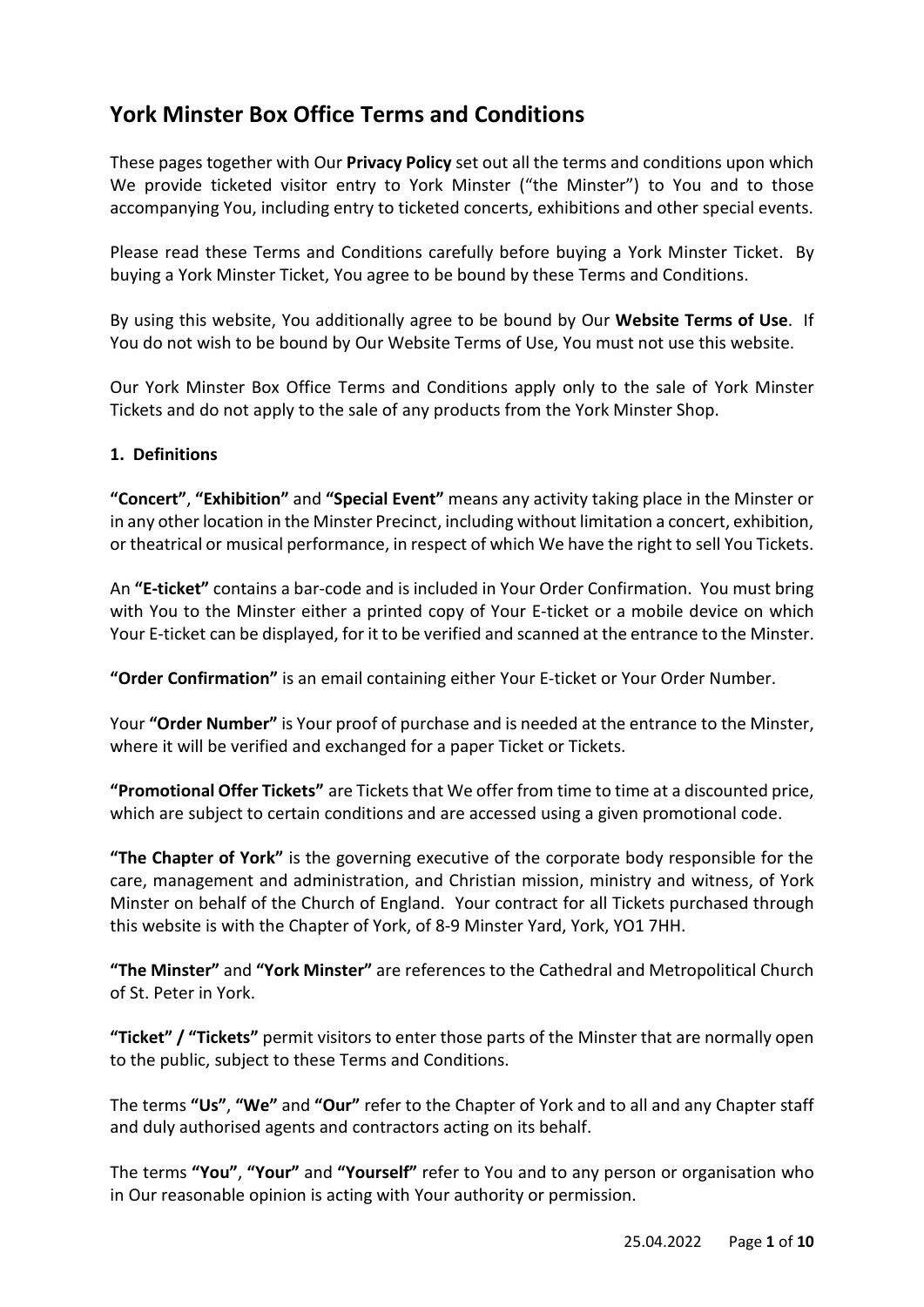# **York Minster Box Office Terms and Conditions**

These pages together with Our **Privacy Policy** set out all the terms and conditions upon which We provide ticketed visitor entry to York Minster ("the Minster") to You and to those accompanying You, including entry to ticketed concerts, exhibitions and other special events.

Please read these Terms and Conditions carefully before buying a York Minster Ticket. By buying a York Minster Ticket, You agree to be bound by these Terms and Conditions.

By using this website, You additionally agree to be bound by Our **Website Terms of Use**. If You do not wish to be bound by Our Website Terms of Use, You must not use this website.

Our York Minster Box Office Terms and Conditions apply only to the sale of York Minster Tickets and do not apply to the sale of any products from the York Minster Shop.

# **1. Definitions**

**"Concert"**, **"Exhibition"** and **"Special Event"** means any activity taking place in the Minster or in any other location in the Minster Precinct, including without limitation a concert, exhibition, or theatrical or musical performance, in respect of which We have the right to sell You Tickets.

An **"E-ticket"** contains a bar-code and is included in Your Order Confirmation. You must bring with You to the Minster either a printed copy of Your E-ticket or a mobile device on which Your E-ticket can be displayed, for it to be verified and scanned at the entrance to the Minster.

**"Order Confirmation"** is an email containing either Your E-ticket or Your Order Number.

Your **"Order Number"** is Your proof of purchase and is needed at the entrance to the Minster, where it will be verified and exchanged for a paper Ticket or Tickets.

**"Promotional Offer Tickets"** are Tickets that We offer from time to time at a discounted price, which are subject to certain conditions and are accessed using a given promotional code.

**"The Chapter of York"** is the governing executive of the corporate body responsible for the care, management and administration, and Christian mission, ministry and witness, of York Minster on behalf of the Church of England. Your contract for all Tickets purchased through this website is with the Chapter of York, of 8-9 Minster Yard, York, YO1 7HH.

**"The Minster"** and **"York Minster"** are references to the Cathedral and Metropolitical Church of St. Peter in York.

**"Ticket" / "Tickets"** permit visitors to enter those parts of the Minster that are normally open to the public, subject to these Terms and Conditions.

The terms **"Us"**, **"We"** and **"Our"** refer to the Chapter of York and to all and any Chapter staff and duly authorised agents and contractors acting on its behalf.

The terms **"You"**, **"Your"** and **"Yourself"** refer to You and to any person or organisation who in Our reasonable opinion is acting with Your authority or permission.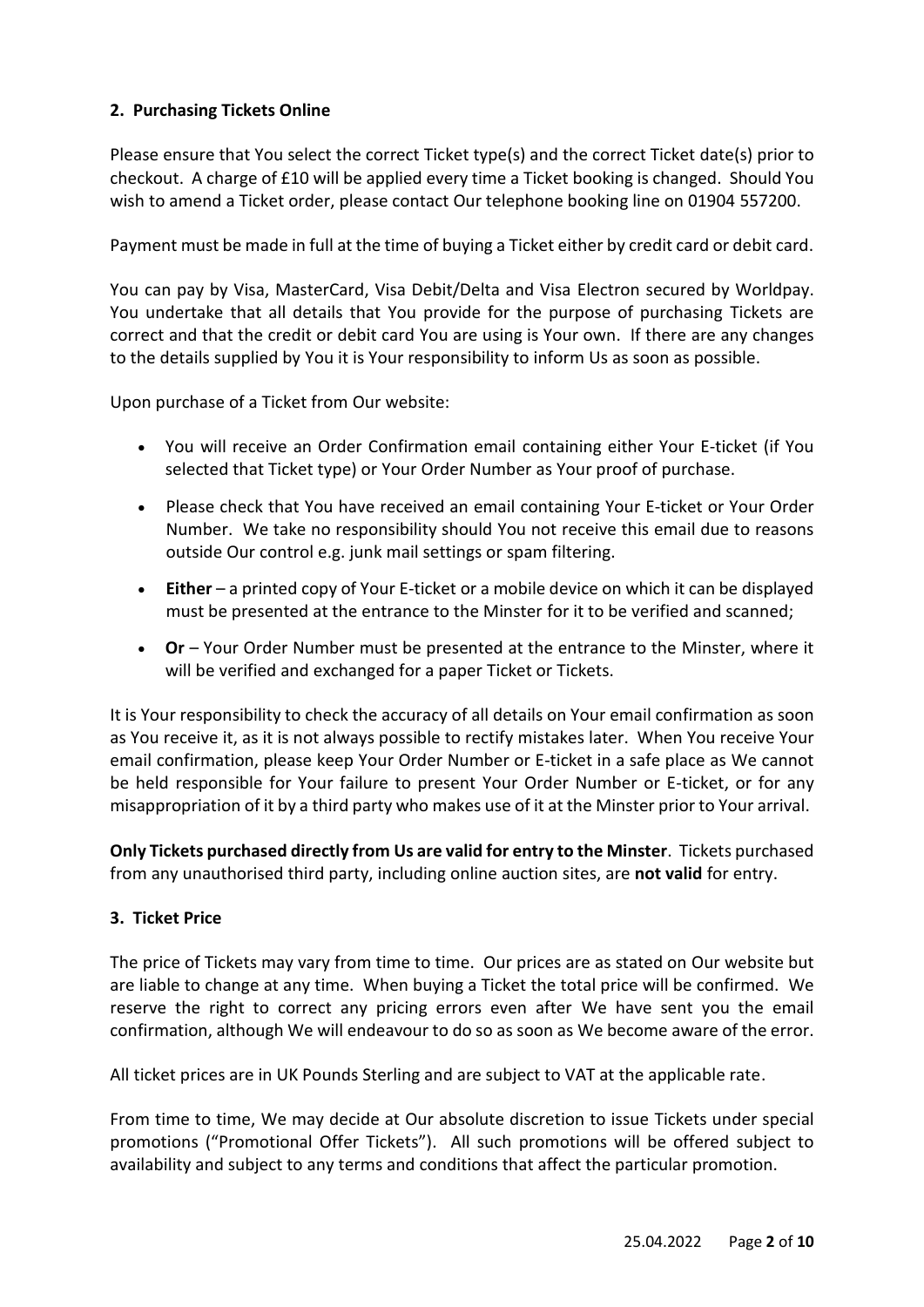# **2. Purchasing Tickets Online**

Please ensure that You select the correct Ticket type(s) and the correct Ticket date(s) prior to checkout. A charge of £10 will be applied every time a Ticket booking is changed. Should You wish to amend a Ticket order, please contact Our telephone booking line on 01904 557200.

Payment must be made in full at the time of buying a Ticket either by credit card or debit card.

You can pay by Visa, MasterCard, Visa Debit/Delta and Visa Electron secured by Worldpay. You undertake that all details that You provide for the purpose of purchasing Tickets are correct and that the credit or debit card You are using is Your own. If there are any changes to the details supplied by You it is Your responsibility to inform Us as soon as possible.

Upon purchase of a Ticket from Our website:

- You will receive an Order Confirmation email containing either Your E-ticket (if You selected that Ticket type) or Your Order Number as Your proof of purchase.
- Please check that You have received an email containing Your E-ticket or Your Order Number. We take no responsibility should You not receive this email due to reasons outside Our control e.g. junk mail settings or spam filtering.
- **Either** a printed copy of Your E-ticket or a mobile device on which it can be displayed must be presented at the entrance to the Minster for it to be verified and scanned;
- **Or** Your Order Number must be presented at the entrance to the Minster, where it will be verified and exchanged for a paper Ticket or Tickets.

It is Your responsibility to check the accuracy of all details on Your email confirmation as soon as You receive it, as it is not always possible to rectify mistakes later. When You receive Your email confirmation, please keep Your Order Number or E-ticket in a safe place as We cannot be held responsible for Your failure to present Your Order Number or E-ticket, or for any misappropriation of it by a third party who makes use of it at the Minster prior to Your arrival.

**Only Tickets purchased directly from Us are valid for entry to the Minster**. Tickets purchased from any unauthorised third party, including online auction sites, are **not valid** for entry.

# **3. Ticket Price**

The price of Tickets may vary from time to time. Our prices are as stated on Our website but are liable to change at any time. When buying a Ticket the total price will be confirmed. We reserve the right to correct any pricing errors even after We have sent you the email confirmation, although We will endeavour to do so as soon as We become aware of the error.

All ticket prices are in UK Pounds Sterling and are subject to VAT at the applicable rate.

From time to time, We may decide at Our absolute discretion to issue Tickets under special promotions ("Promotional Offer Tickets"). All such promotions will be offered subject to availability and subject to any terms and conditions that affect the particular promotion.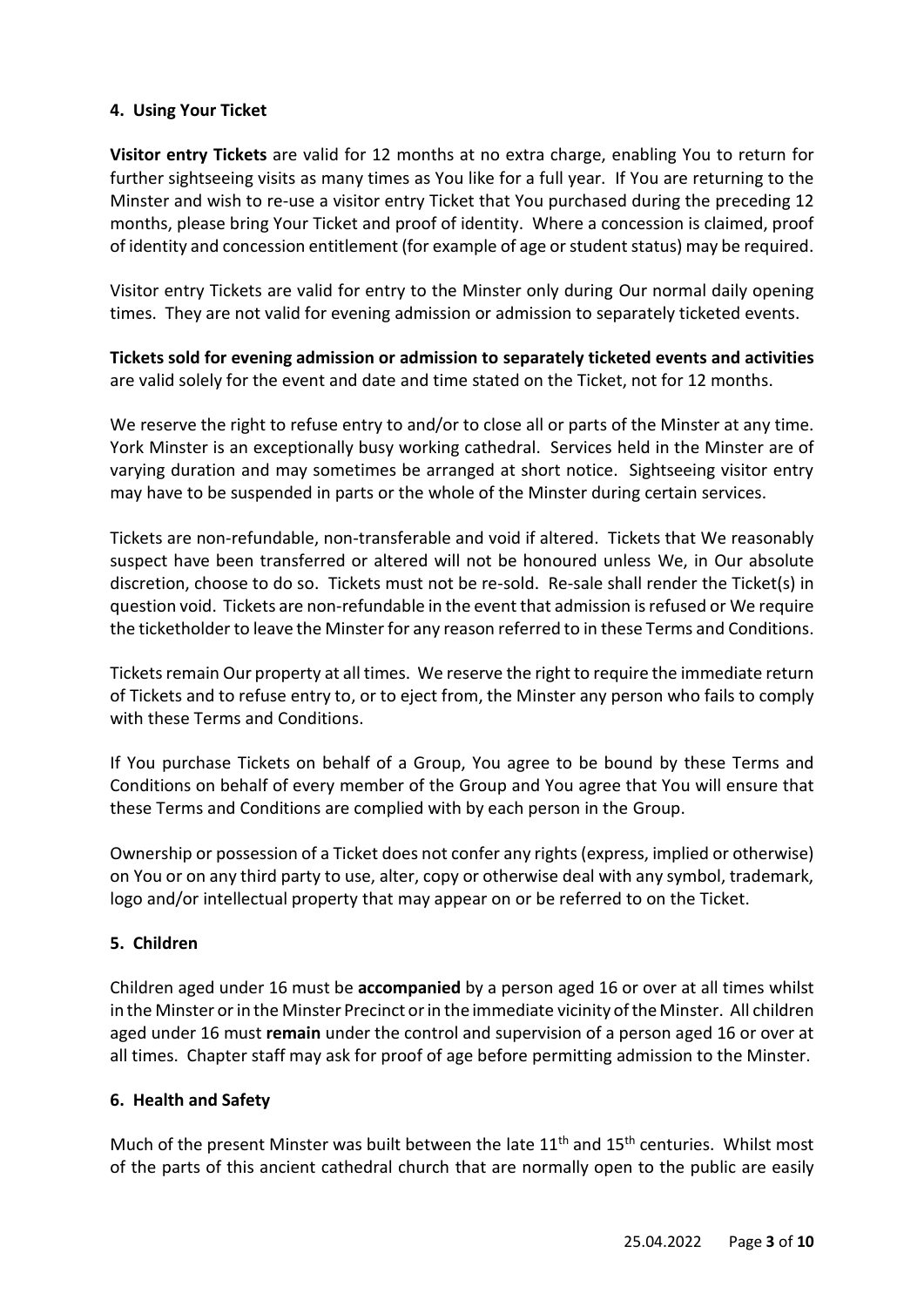# **4. Using Your Ticket**

**Visitor entry Tickets** are valid for 12 months at no extra charge, enabling You to return for further sightseeing visits as many times as You like for a full year. If You are returning to the Minster and wish to re-use a visitor entry Ticket that You purchased during the preceding 12 months, please bring Your Ticket and proof of identity. Where a concession is claimed, proof of identity and concession entitlement (for example of age or student status) may be required.

Visitor entry Tickets are valid for entry to the Minster only during Our normal daily opening times. They are not valid for evening admission or admission to separately ticketed events.

**Tickets sold for evening admission or admission to separately ticketed events and activities**  are valid solely for the event and date and time stated on the Ticket, not for 12 months.

We reserve the right to refuse entry to and/or to close all or parts of the Minster at any time. York Minster is an exceptionally busy working cathedral. Services held in the Minster are of varying duration and may sometimes be arranged at short notice. Sightseeing visitor entry may have to be suspended in parts or the whole of the Minster during certain services.

Tickets are non-refundable, non-transferable and void if altered. Tickets that We reasonably suspect have been transferred or altered will not be honoured unless We, in Our absolute discretion, choose to do so. Tickets must not be re-sold. Re-sale shall render the Ticket(s) in question void. Tickets are non-refundable in the event that admission is refused or We require the ticketholder to leave the Minster for any reason referred to in these Terms and Conditions.

Tickets remain Our property at all times. We reserve the right to require the immediate return of Tickets and to refuse entry to, or to eject from, the Minster any person who fails to comply with these Terms and Conditions.

If You purchase Tickets on behalf of a Group, You agree to be bound by these Terms and Conditions on behalf of every member of the Group and You agree that You will ensure that these Terms and Conditions are complied with by each person in the Group.

Ownership or possession of a Ticket does not confer any rights (express, implied or otherwise) on You or on any third party to use, alter, copy or otherwise deal with any symbol, trademark, logo and/or intellectual property that may appear on or be referred to on the Ticket.

#### **5. Children**

Children aged under 16 must be **accompanied** by a person aged 16 or over at all times whilst in the Minster or in the Minster Precinct or in the immediate vicinity of the Minster. All children aged under 16 must **remain** under the control and supervision of a person aged 16 or over at all times. Chapter staff may ask for proof of age before permitting admission to the Minster.

#### **6. Health and Safety**

Much of the present Minster was built between the late  $11<sup>th</sup>$  and  $15<sup>th</sup>$  centuries. Whilst most of the parts of this ancient cathedral church that are normally open to the public are easily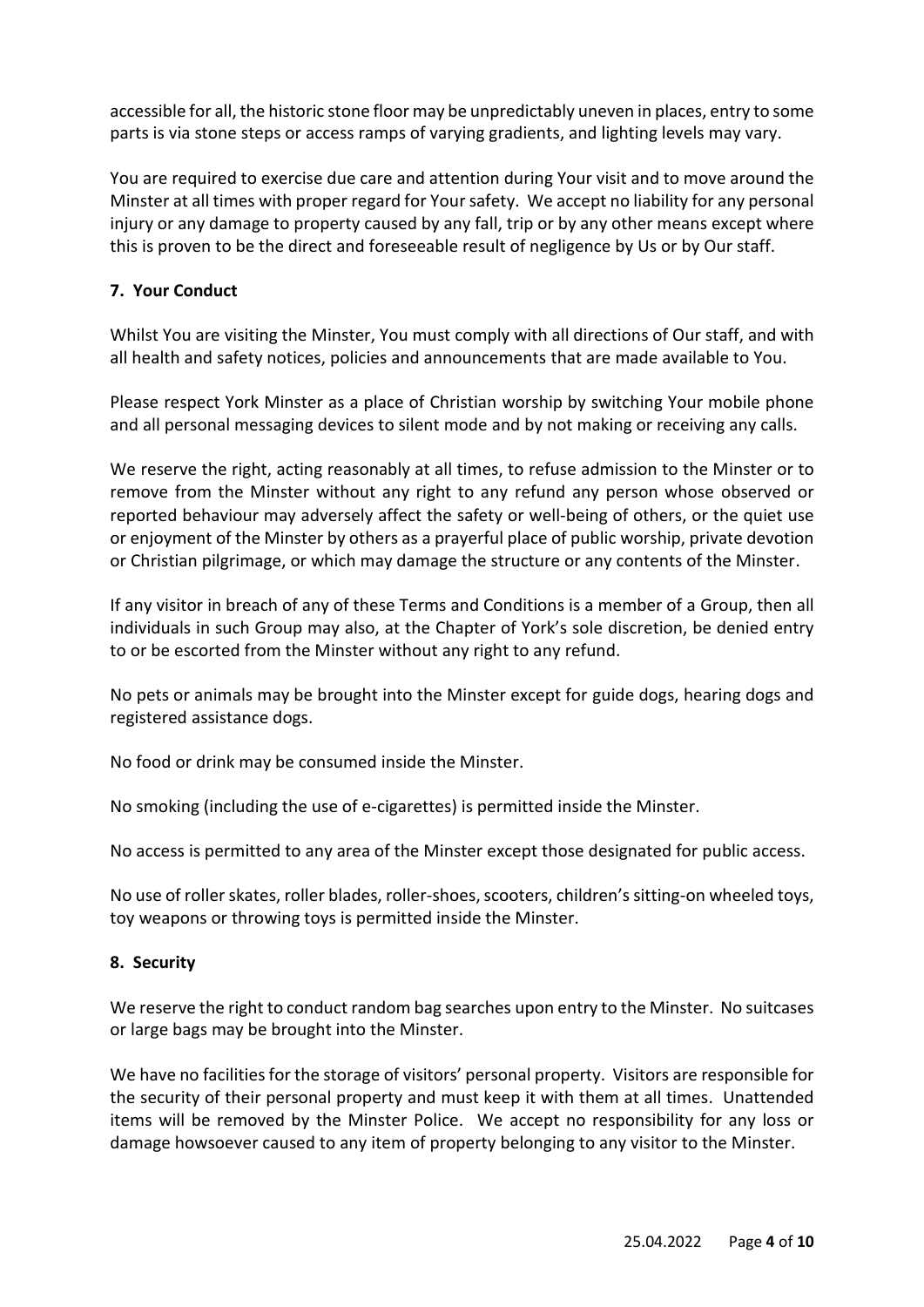accessible for all, the historic stone floor may be unpredictably uneven in places, entry to some parts is via stone steps or access ramps of varying gradients, and lighting levels may vary.

You are required to exercise due care and attention during Your visit and to move around the Minster at all times with proper regard for Your safety. We accept no liability for any personal injury or any damage to property caused by any fall, trip or by any other means except where this is proven to be the direct and foreseeable result of negligence by Us or by Our staff.

# **7. Your Conduct**

Whilst You are visiting the Minster, You must comply with all directions of Our staff, and with all health and safety notices, policies and announcements that are made available to You.

Please respect York Minster as a place of Christian worship by switching Your mobile phone and all personal messaging devices to silent mode and by not making or receiving any calls.

We reserve the right, acting reasonably at all times, to refuse admission to the Minster or to remove from the Minster without any right to any refund any person whose observed or reported behaviour may adversely affect the safety or well-being of others, or the quiet use or enjoyment of the Minster by others as a prayerful place of public worship, private devotion or Christian pilgrimage, or which may damage the structure or any contents of the Minster.

If any visitor in breach of any of these Terms and Conditions is a member of a Group, then all individuals in such Group may also, at the Chapter of York's sole discretion, be denied entry to or be escorted from the Minster without any right to any refund.

No pets or animals may be brought into the Minster except for guide dogs, hearing dogs and registered assistance dogs.

No food or drink may be consumed inside the Minster.

No smoking (including the use of e-cigarettes) is permitted inside the Minster.

No access is permitted to any area of the Minster except those designated for public access.

No use of roller skates, roller blades, roller-shoes, scooters, children's sitting-on wheeled toys, toy weapons or throwing toys is permitted inside the Minster.

#### **8. Security**

We reserve the right to conduct random bag searches upon entry to the Minster. No suitcases or large bags may be brought into the Minster.

We have no facilities for the storage of visitors' personal property. Visitors are responsible for the security of their personal property and must keep it with them at all times. Unattended items will be removed by the Minster Police. We accept no responsibility for any loss or damage howsoever caused to any item of property belonging to any visitor to the Minster.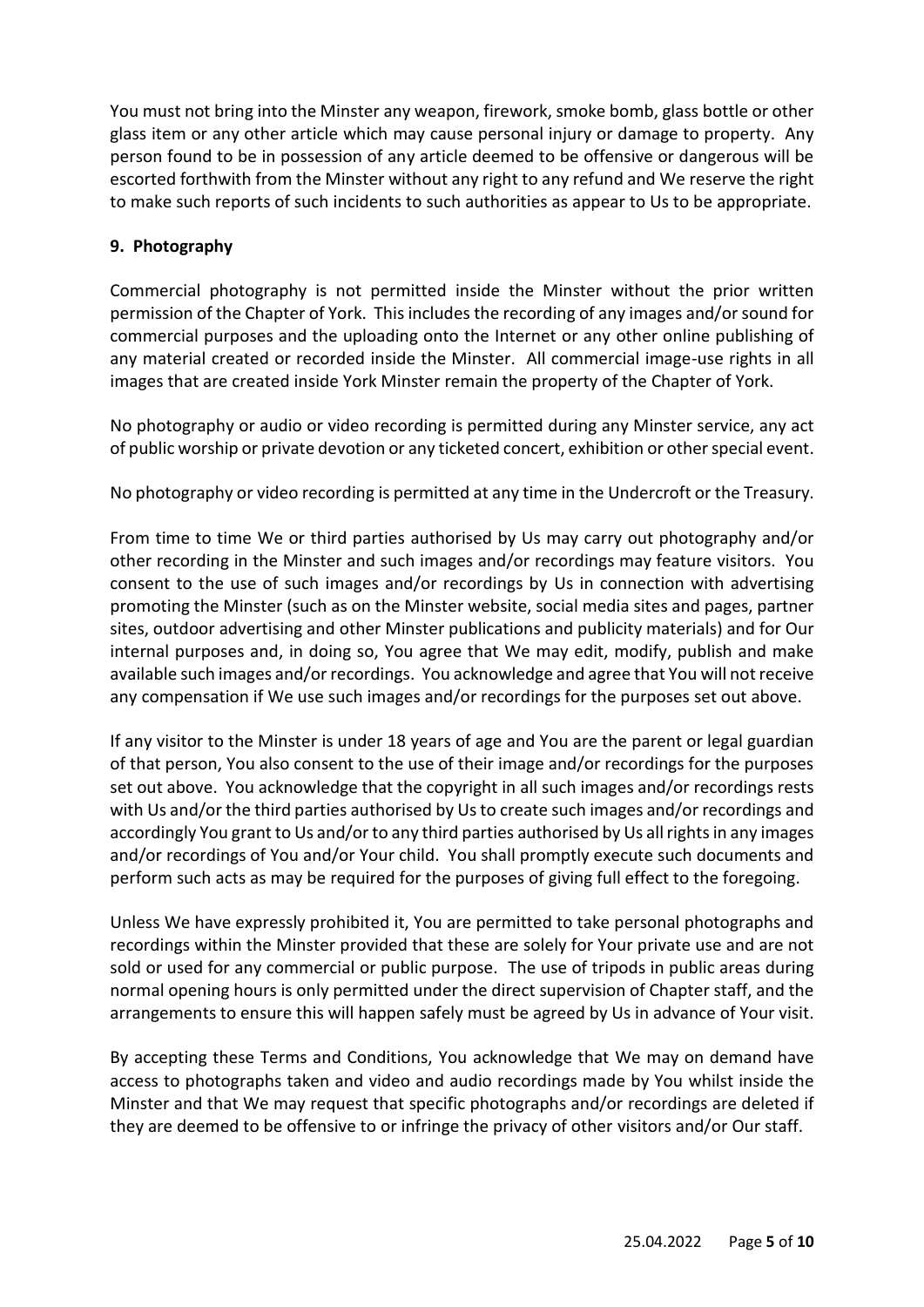You must not bring into the Minster any weapon, firework, smoke bomb, glass bottle or other glass item or any other article which may cause personal injury or damage to property. Any person found to be in possession of any article deemed to be offensive or dangerous will be escorted forthwith from the Minster without any right to any refund and We reserve the right to make such reports of such incidents to such authorities as appear to Us to be appropriate.

## **9. Photography**

Commercial photography is not permitted inside the Minster without the prior written permission of the Chapter of York. This includes the recording of any images and/or sound for commercial purposes and the uploading onto the Internet or any other online publishing of any material created or recorded inside the Minster. All commercial image-use rights in all images that are created inside York Minster remain the property of the Chapter of York.

No photography or audio or video recording is permitted during any Minster service, any act of public worship or private devotion or any ticketed concert, exhibition or other special event.

No photography or video recording is permitted at any time in the Undercroft or the Treasury.

From time to time We or third parties authorised by Us may carry out photography and/or other recording in the Minster and such images and/or recordings may feature visitors. You consent to the use of such images and/or recordings by Us in connection with advertising promoting the Minster (such as on the Minster website, social media sites and pages, partner sites, outdoor advertising and other Minster publications and publicity materials) and for Our internal purposes and, in doing so, You agree that We may edit, modify, publish and make available such images and/or recordings. You acknowledge and agree that You will not receive any compensation if We use such images and/or recordings for the purposes set out above.

If any visitor to the Minster is under 18 years of age and You are the parent or legal guardian of that person, You also consent to the use of their image and/or recordings for the purposes set out above. You acknowledge that the copyright in all such images and/or recordings rests with Us and/or the third parties authorised by Us to create such images and/or recordings and accordingly You grant to Us and/or to any third parties authorised by Us allrights in any images and/or recordings of You and/or Your child. You shall promptly execute such documents and perform such acts as may be required for the purposes of giving full effect to the foregoing.

Unless We have expressly prohibited it, You are permitted to take personal photographs and recordings within the Minster provided that these are solely for Your private use and are not sold or used for any commercial or public purpose. The use of tripods in public areas during normal opening hours is only permitted under the direct supervision of Chapter staff, and the arrangements to ensure this will happen safely must be agreed by Us in advance of Your visit.

By accepting these Terms and Conditions, You acknowledge that We may on demand have access to photographs taken and video and audio recordings made by You whilst inside the Minster and that We may request that specific photographs and/or recordings are deleted if they are deemed to be offensive to or infringe the privacy of other visitors and/or Our staff.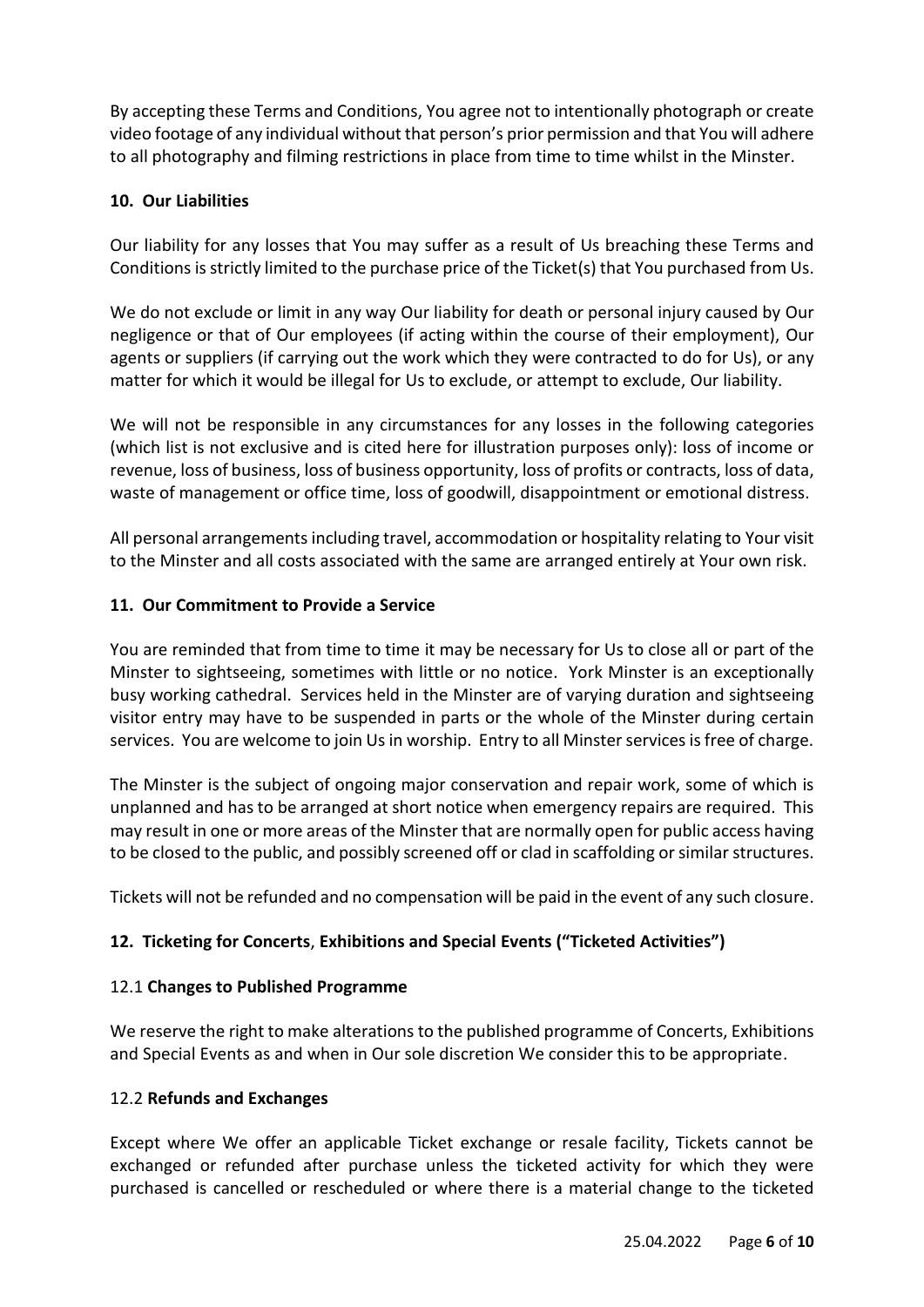By accepting these Terms and Conditions, You agree not to intentionally photograph or create video footage of any individual without that person's prior permission and that You will adhere to all photography and filming restrictions in place from time to time whilst in the Minster.

# **10. Our Liabilities**

Our liability for any losses that You may suffer as a result of Us breaching these Terms and Conditions is strictly limited to the purchase price of the Ticket(s) that You purchased from Us.

We do not exclude or limit in any way Our liability for death or personal injury caused by Our negligence or that of Our employees (if acting within the course of their employment), Our agents or suppliers (if carrying out the work which they were contracted to do for Us), or any matter for which it would be illegal for Us to exclude, or attempt to exclude, Our liability.

We will not be responsible in any circumstances for any losses in the following categories (which list is not exclusive and is cited here for illustration purposes only): loss of income or revenue, loss of business, loss of business opportunity, loss of profits or contracts, loss of data, waste of management or office time, loss of goodwill, disappointment or emotional distress.

All personal arrangements including travel, accommodation or hospitality relating to Your visit to the Minster and all costs associated with the same are arranged entirely at Your own risk.

# **11. Our Commitment to Provide a Service**

You are reminded that from time to time it may be necessary for Us to close all or part of the Minster to sightseeing, sometimes with little or no notice. York Minster is an exceptionally busy working cathedral. Services held in the Minster are of varying duration and sightseeing visitor entry may have to be suspended in parts or the whole of the Minster during certain services. You are welcome to join Us in worship. Entry to all Minster services is free of charge.

The Minster is the subject of ongoing major conservation and repair work, some of which is unplanned and has to be arranged at short notice when emergency repairs are required. This may result in one or more areas of the Minster that are normally open for public access having to be closed to the public, and possibly screened off or clad in scaffolding or similar structures.

Tickets will not be refunded and no compensation will be paid in the event of any such closure.

# **12. Ticketing for Concerts**, **Exhibitions and Special Events ("Ticketed Activities")**

# 12.1 **Changes to Published Programme**

We reserve the right to make alterations to the published programme of Concerts, Exhibitions and Special Events as and when in Our sole discretion We consider this to be appropriate.

# 12.2 **Refunds and Exchanges**

Except where We offer an applicable Ticket exchange or resale facility, Tickets cannot be exchanged or refunded after purchase unless the ticketed activity for which they were purchased is cancelled or rescheduled or where there is a material change to the ticketed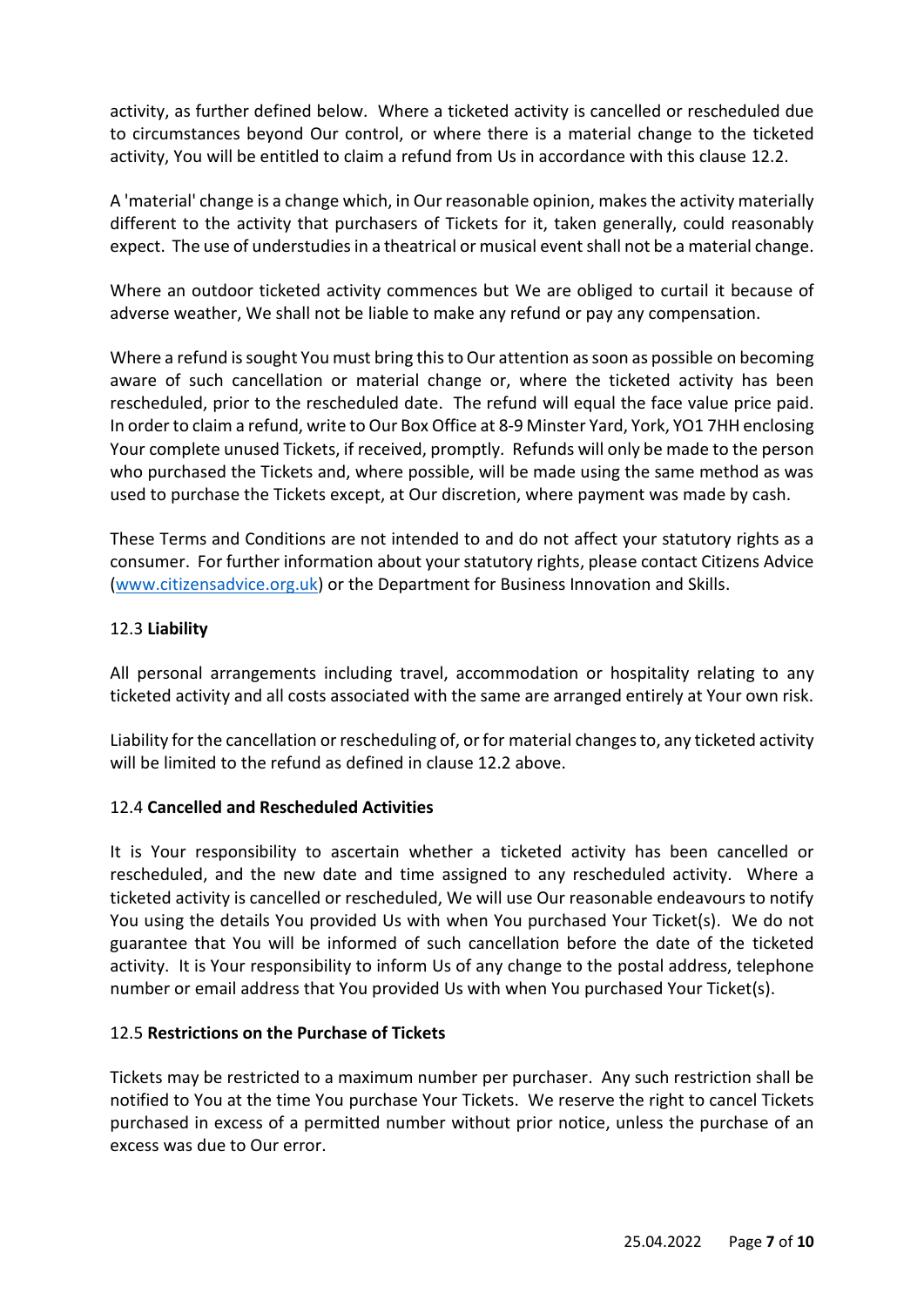activity, as further defined below. Where a ticketed activity is cancelled or rescheduled due to circumstances beyond Our control, or where there is a material change to the ticketed activity, You will be entitled to claim a refund from Us in accordance with this clause 12.2.

A 'material' change is a change which, in Our reasonable opinion, makes the activity materially different to the activity that purchasers of Tickets for it, taken generally, could reasonably expect. The use of understudies in a theatrical or musical event shall not be a material change.

Where an outdoor ticketed activity commences but We are obliged to curtail it because of adverse weather, We shall not be liable to make any refund or pay any compensation.

Where a refund is sought You must bring this to Our attention as soon as possible on becoming aware of such cancellation or material change or, where the ticketed activity has been rescheduled, prior to the rescheduled date. The refund will equal the face value price paid. In order to claim a refund, write to Our Box Office at 8-9 Minster Yard, York, YO1 7HH enclosing Your complete unused Tickets, if received, promptly. Refunds will only be made to the person who purchased the Tickets and, where possible, will be made using the same method as was used to purchase the Tickets except, at Our discretion, where payment was made by cash.

These Terms and Conditions are not intended to and do not affect your statutory rights as a consumer. For further information about your statutory rights, please contact Citizens Advice [\(www.citizensadvice.org.uk\)](http://www.citizensadvice.org.uk/) or the Department for Business Innovation and Skills.

# 12.3 **Liability**

All personal arrangements including travel, accommodation or hospitality relating to any ticketed activity and all costs associated with the same are arranged entirely at Your own risk.

Liability for the cancellation or rescheduling of, or for material changes to, any ticketed activity will be limited to the refund as defined in clause 12.2 above.

#### 12.4 **Cancelled and Rescheduled Activities**

It is Your responsibility to ascertain whether a ticketed activity has been cancelled or rescheduled, and the new date and time assigned to any rescheduled activity. Where a ticketed activity is cancelled or rescheduled, We will use Our reasonable endeavours to notify You using the details You provided Us with when You purchased Your Ticket(s). We do not guarantee that You will be informed of such cancellation before the date of the ticketed activity. It is Your responsibility to inform Us of any change to the postal address, telephone number or email address that You provided Us with when You purchased Your Ticket(s).

# 12.5 **Restrictions on the Purchase of Tickets**

Tickets may be restricted to a maximum number per purchaser. Any such restriction shall be notified to You at the time You purchase Your Tickets. We reserve the right to cancel Tickets purchased in excess of a permitted number without prior notice, unless the purchase of an excess was due to Our error.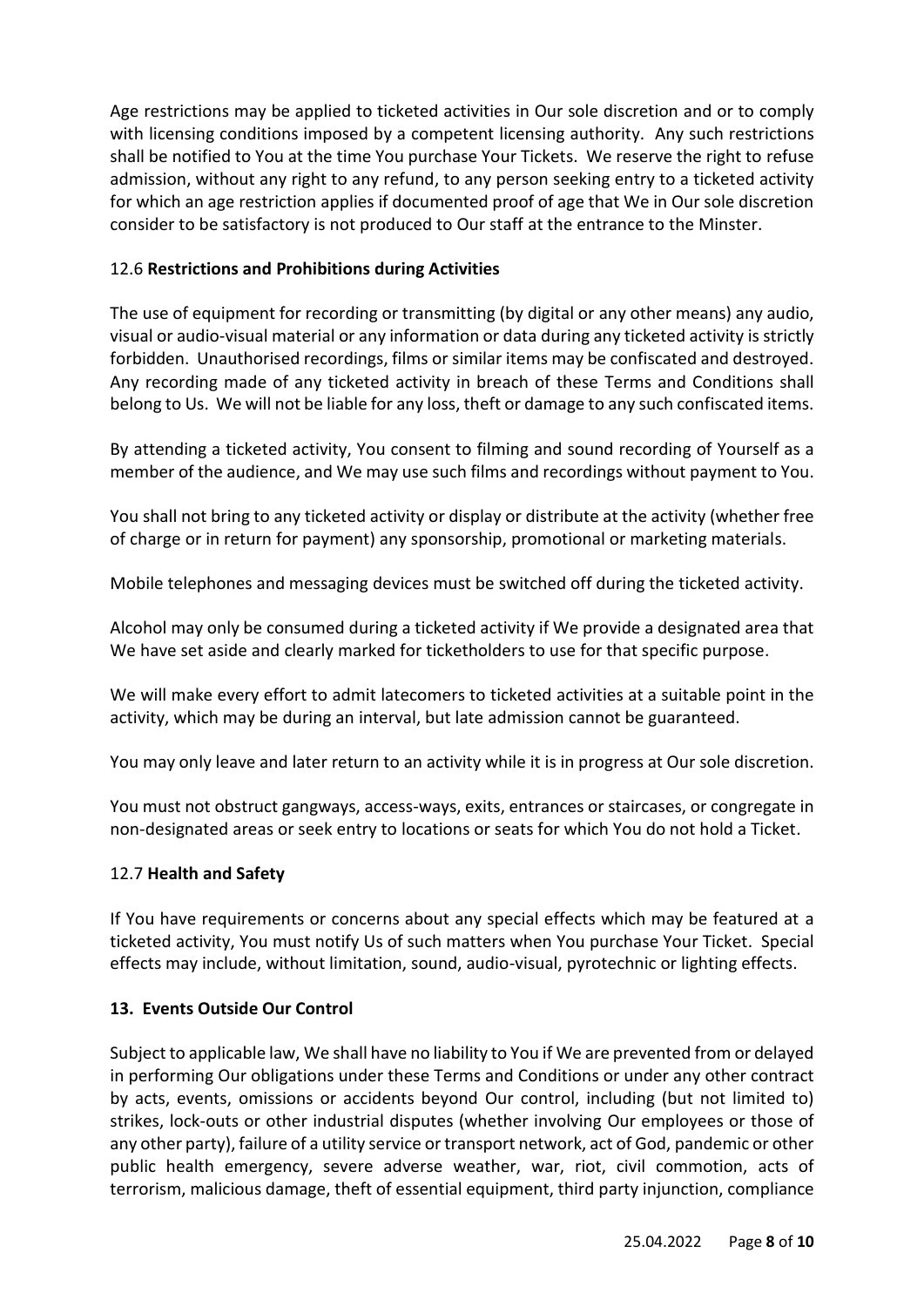Age restrictions may be applied to ticketed activities in Our sole discretion and or to comply with licensing conditions imposed by a competent licensing authority. Any such restrictions shall be notified to You at the time You purchase Your Tickets. We reserve the right to refuse admission, without any right to any refund, to any person seeking entry to a ticketed activity for which an age restriction applies if documented proof of age that We in Our sole discretion consider to be satisfactory is not produced to Our staff at the entrance to the Minster.

# 12.6 **Restrictions and Prohibitions during Activities**

The use of equipment for recording or transmitting (by digital or any other means) any audio, visual or audio-visual material or any information or data during any ticketed activity is strictly forbidden. Unauthorised recordings, films or similar items may be confiscated and destroyed. Any recording made of any ticketed activity in breach of these Terms and Conditions shall belong to Us. We will not be liable for any loss, theft or damage to any such confiscated items.

By attending a ticketed activity, You consent to filming and sound recording of Yourself as a member of the audience, and We may use such films and recordings without payment to You.

You shall not bring to any ticketed activity or display or distribute at the activity (whether free of charge or in return for payment) any sponsorship, promotional or marketing materials.

Mobile telephones and messaging devices must be switched off during the ticketed activity.

Alcohol may only be consumed during a ticketed activity if We provide a designated area that We have set aside and clearly marked for ticketholders to use for that specific purpose.

We will make every effort to admit latecomers to ticketed activities at a suitable point in the activity, which may be during an interval, but late admission cannot be guaranteed.

You may only leave and later return to an activity while it is in progress at Our sole discretion.

You must not obstruct gangways, access-ways, exits, entrances or staircases, or congregate in non-designated areas or seek entry to locations or seats for which You do not hold a Ticket.

# 12.7 **Health and Safety**

If You have requirements or concerns about any special effects which may be featured at a ticketed activity, You must notify Us of such matters when You purchase Your Ticket. Special effects may include, without limitation, sound, audio-visual, pyrotechnic or lighting effects.

# **13. Events Outside Our Control**

Subject to applicable law, We shall have no liability to You if We are prevented from or delayed in performing Our obligations under these Terms and Conditions or under any other contract by acts, events, omissions or accidents beyond Our control, including (but not limited to) strikes, lock-outs or other industrial disputes (whether involving Our employees or those of any other party), failure of a utility service or transport network, act of God, pandemic or other public health emergency, severe adverse weather, war, riot, civil commotion, acts of terrorism, malicious damage, theft of essential equipment, third party injunction, compliance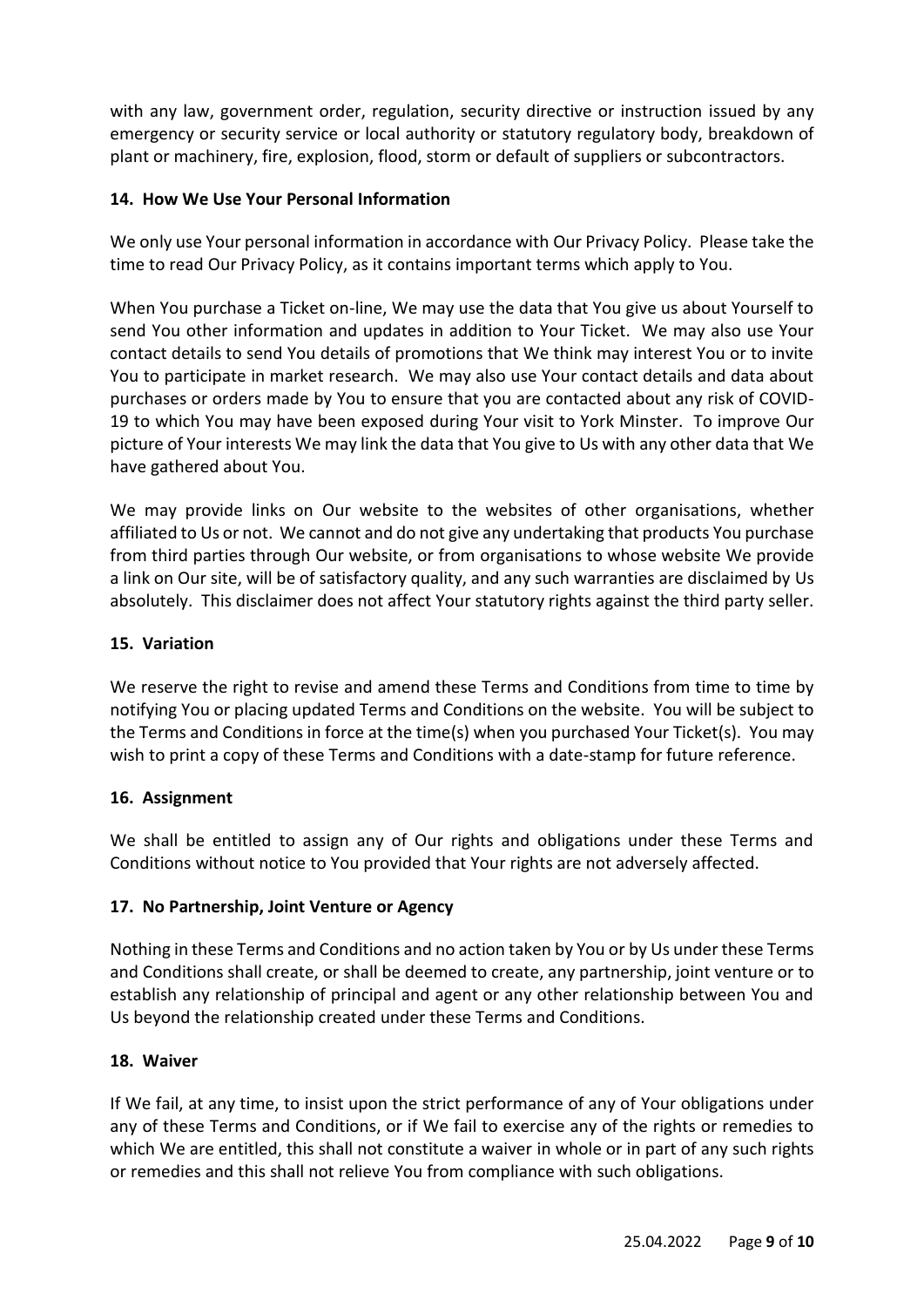with any law, government order, regulation, security directive or instruction issued by any emergency or security service or local authority or statutory regulatory body, breakdown of plant or machinery, fire, explosion, flood, storm or default of suppliers or subcontractors.

## **14. How We Use Your Personal Information**

We only use Your personal information in accordance with Our Privacy Policy. Please take the time to read Our Privacy Policy, as it contains important terms which apply to You.

When You purchase a Ticket on-line, We may use the data that You give us about Yourself to send You other information and updates in addition to Your Ticket. We may also use Your contact details to send You details of promotions that We think may interest You or to invite You to participate in market research. We may also use Your contact details and data about purchases or orders made by You to ensure that you are contacted about any risk of COVID-19 to which You may have been exposed during Your visit to York Minster. To improve Our picture of Your interests We may link the data that You give to Us with any other data that We have gathered about You.

We may provide links on Our website to the websites of other organisations, whether affiliated to Us or not. We cannot and do not give any undertaking that products You purchase from third parties through Our website, or from organisations to whose website We provide a link on Our site, will be of satisfactory quality, and any such warranties are disclaimed by Us absolutely. This disclaimer does not affect Your statutory rights against the third party seller.

### **15. Variation**

We reserve the right to revise and amend these Terms and Conditions from time to time by notifying You or placing updated Terms and Conditions on the website. You will be subject to the Terms and Conditions in force at the time(s) when you purchased Your Ticket(s). You may wish to print a copy of these Terms and Conditions with a date-stamp for future reference.

#### **16. Assignment**

We shall be entitled to assign any of Our rights and obligations under these Terms and Conditions without notice to You provided that Your rights are not adversely affected.

#### **17. No Partnership, Joint Venture or Agency**

Nothing in these Terms and Conditions and no action taken by You or by Us under these Terms and Conditions shall create, or shall be deemed to create, any partnership, joint venture or to establish any relationship of principal and agent or any other relationship between You and Us beyond the relationship created under these Terms and Conditions.

#### **18. Waiver**

If We fail, at any time, to insist upon the strict performance of any of Your obligations under any of these Terms and Conditions, or if We fail to exercise any of the rights or remedies to which We are entitled, this shall not constitute a waiver in whole or in part of any such rights or remedies and this shall not relieve You from compliance with such obligations.